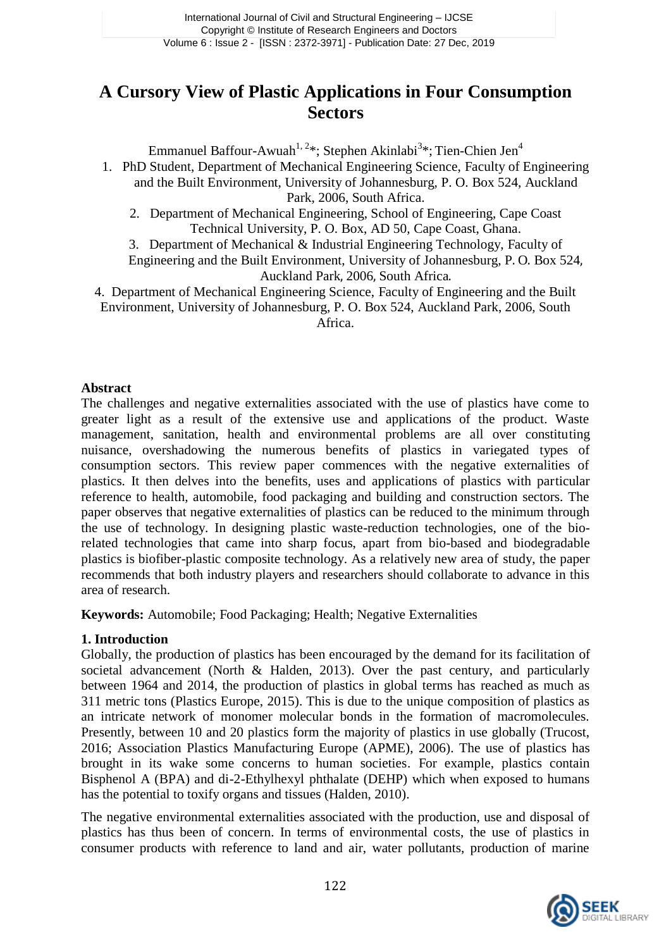# **A Cursory View of Plastic Applications in Four Consumption Sectors**

Emmanuel Baffour-Awuah<sup>1, 2</sup>\*; Stephen Akinlabi<sup>3</sup>\*; Tien-Chien Jen<sup>4</sup>

- 1. PhD Student, Department of Mechanical Engineering Science, Faculty of Engineering and the Built Environment, University of Johannesburg, P. O. Box 524, Auckland Park, 2006, South Africa.
	- 2. Department of Mechanical Engineering, School of Engineering, Cape Coast Technical University, P. O. Box, AD 50, Cape Coast, Ghana.

3. Department of Mechanical & Industrial Engineering Technology, Faculty of Engineering and the Built Environment, University of Johannesburg, P. O. Box 524, Auckland Park, 2006, South Africa.

4. Department of Mechanical Engineering Science, Faculty of Engineering and the Built Environment, University of Johannesburg, P. O. Box 524, Auckland Park, 2006, South Africa.

#### **Abstract**

The challenges and negative externalities associated with the use of plastics have come to greater light as a result of the extensive use and applications of the product. Waste management, sanitation, health and environmental problems are all over constituting nuisance, overshadowing the numerous benefits of plastics in variegated types of consumption sectors. This review paper commences with the negative externalities of plastics. It then delves into the benefits, uses and applications of plastics with particular reference to health, automobile, food packaging and building and construction sectors. The paper observes that negative externalities of plastics can be reduced to the minimum through the use of technology. In designing plastic waste-reduction technologies, one of the biorelated technologies that came into sharp focus, apart from bio-based and biodegradable plastics is biofiber-plastic composite technology. As a relatively new area of study, the paper recommends that both industry players and researchers should collaborate to advance in this area of research.

**Keywords:** Automobile; Food Packaging; Health; Negative Externalities

### **1. Introduction**

Globally, the production of plastics has been encouraged by the demand for its facilitation of societal advancement (North & Halden, 2013). Over the past century, and particularly between 1964 and 2014, the production of plastics in global terms has reached as much as 311 metric tons (Plastics Europe, 2015). This is due to the unique composition of plastics as an intricate network of monomer molecular bonds in the formation of macromolecules. Presently, between 10 and 20 plastics form the majority of plastics in use globally (Trucost, 2016; Association Plastics Manufacturing Europe (APME), 2006). The use of plastics has brought in its wake some concerns to human societies. For example, plastics contain Bisphenol A (BPA) and di-2-Ethylhexyl phthalate (DEHP) which when exposed to humans has the potential to toxify organs and tissues (Halden, 2010).

The negative environmental externalities associated with the production, use and disposal of plastics has thus been of concern. In terms of environmental costs, the use of plastics in consumer products with reference to land and air, water pollutants, production of marine

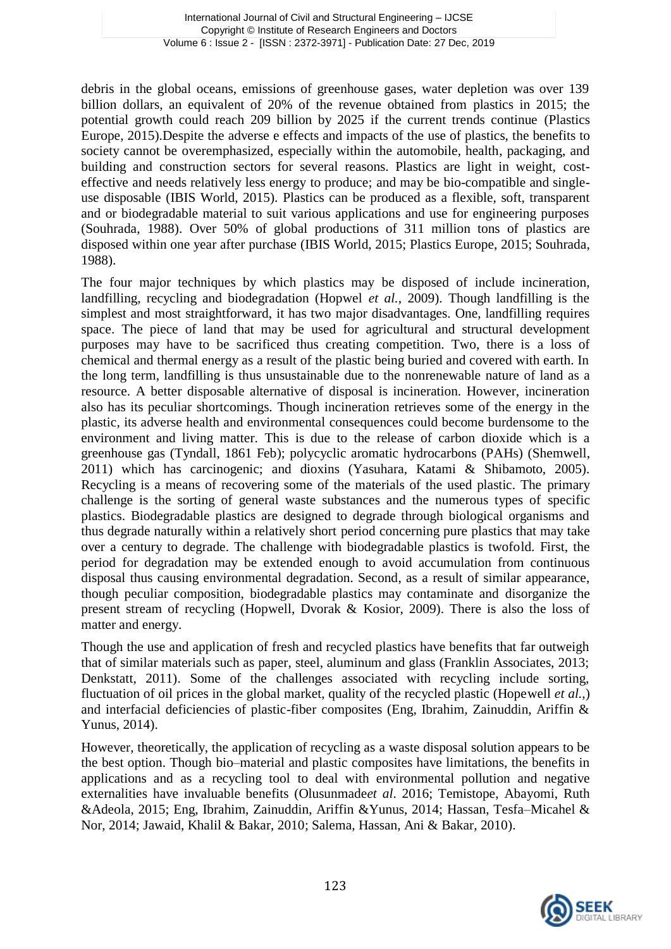debris in the global oceans, emissions of greenhouse gases, water depletion was over 139 billion dollars, an equivalent of 20% of the revenue obtained from plastics in 2015; the potential growth could reach 209 billion by 2025 if the current trends continue (Plastics Europe, 2015).Despite the adverse e effects and impacts of the use of plastics, the benefits to society cannot be overemphasized, especially within the automobile, health, packaging, and building and construction sectors for several reasons. Plastics are light in weight, costeffective and needs relatively less energy to produce; and may be bio-compatible and singleuse disposable (IBIS World, 2015). Plastics can be produced as a flexible, soft, transparent and or biodegradable material to suit various applications and use for engineering purposes (Souhrada, 1988). Over 50% of global productions of 311 million tons of plastics are disposed within one year after purchase (IBIS World, 2015; Plastics Europe, 2015; Souhrada, 1988).

The four major techniques by which plastics may be disposed of include incineration, landfilling, recycling and biodegradation (Hopwel *et al.*, 2009). Though landfilling is the simplest and most straightforward, it has two major disadvantages. One, landfilling requires space. The piece of land that may be used for agricultural and structural development purposes may have to be sacrificed thus creating competition. Two, there is a loss of chemical and thermal energy as a result of the plastic being buried and covered with earth. In the long term, landfilling is thus unsustainable due to the nonrenewable nature of land as a resource. A better disposable alternative of disposal is incineration. However, incineration also has its peculiar shortcomings. Though incineration retrieves some of the energy in the plastic, its adverse health and environmental consequences could become burdensome to the environment and living matter. This is due to the release of carbon dioxide which is a greenhouse gas (Tyndall, 1861 Feb); polycyclic aromatic hydrocarbons (PAHs) (Shemwell, 2011) which has carcinogenic; and dioxins (Yasuhara, Katami & Shibamoto, 2005). Recycling is a means of recovering some of the materials of the used plastic. The primary challenge is the sorting of general waste substances and the numerous types of specific plastics. Biodegradable plastics are designed to degrade through biological organisms and thus degrade naturally within a relatively short period concerning pure plastics that may take over a century to degrade. The challenge with biodegradable plastics is twofold. First, the period for degradation may be extended enough to avoid accumulation from continuous disposal thus causing environmental degradation. Second, as a result of similar appearance, though peculiar composition, biodegradable plastics may contaminate and disorganize the present stream of recycling (Hopwell, Dvorak & Kosior, 2009). There is also the loss of matter and energy.

Though the use and application of fresh and recycled plastics have benefits that far outweigh that of similar materials such as paper, steel, aluminum and glass (Franklin Associates, 2013; Denkstatt, 2011). Some of the challenges associated with recycling include sorting, fluctuation of oil prices in the global market, quality of the recycled plastic (Hopewell *et al.*,) and interfacial deficiencies of plastic-fiber composites (Eng, Ibrahim, Zainuddin, Ariffin & Yunus, 2014).

However, theoretically, the application of recycling as a waste disposal solution appears to be the best option. Though bio–material and plastic composites have limitations, the benefits in applications and as a recycling tool to deal with environmental pollution and negative externalities have invaluable benefits (Olusunmade*et al*. 2016; Temistope, Abayomi, Ruth &Adeola, 2015; Eng, Ibrahim, Zainuddin, Ariffin &Yunus, 2014; Hassan, Tesfa–Micahel & Nor, 2014; Jawaid, Khalil & Bakar, 2010; Salema, Hassan, Ani & Bakar, 2010).

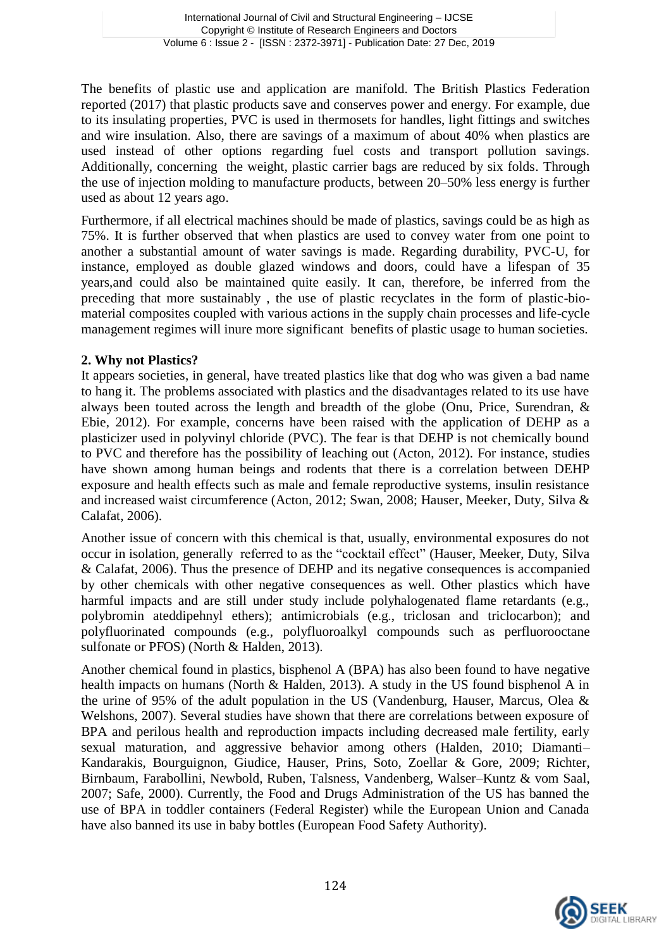The benefits of plastic use and application are manifold. The British Plastics Federation reported (2017) that plastic products save and conserves power and energy. For example, due to its insulating properties, PVC is used in thermosets for handles, light fittings and switches and wire insulation. Also, there are savings of a maximum of about 40% when plastics are used instead of other options regarding fuel costs and transport pollution savings. Additionally, concerning the weight, plastic carrier bags are reduced by six folds. Through the use of injection molding to manufacture products, between 20–50% less energy is further used as about 12 years ago.

Furthermore, if all electrical machines should be made of plastics, savings could be as high as 75%. It is further observed that when plastics are used to convey water from one point to another a substantial amount of water savings is made. Regarding durability, PVC-U, for instance, employed as double glazed windows and doors, could have a lifespan of 35 years,and could also be maintained quite easily. It can, therefore, be inferred from the preceding that more sustainably , the use of plastic recyclates in the form of plastic-biomaterial composites coupled with various actions in the supply chain processes and life-cycle management regimes will inure more significant benefits of plastic usage to human societies.

### **2. Why not Plastics?**

It appears societies, in general, have treated plastics like that dog who was given a bad name to hang it. The problems associated with plastics and the disadvantages related to its use have always been touted across the length and breadth of the globe (Onu, Price, Surendran, & Ebie, 2012). For example, concerns have been raised with the application of DEHP as a plasticizer used in polyvinyl chloride (PVC). The fear is that DEHP is not chemically bound to PVC and therefore has the possibility of leaching out (Acton, 2012). For instance, studies have shown among human beings and rodents that there is a correlation between DEHP exposure and health effects such as male and female reproductive systems, insulin resistance and increased waist circumference (Acton, 2012; Swan, 2008; Hauser, Meeker, Duty, Silva & Calafat, 2006).

Another issue of concern with this chemical is that, usually, environmental exposures do not occur in isolation, generally referred to as the "cocktail effect" (Hauser, Meeker, Duty, Silva & Calafat, 2006). Thus the presence of DEHP and its negative consequences is accompanied by other chemicals with other negative consequences as well. Other plastics which have harmful impacts and are still under study include polyhalogenated flame retardants (e.g., polybromin ateddipehnyl ethers); antimicrobials (e.g., triclosan and triclocarbon); and polyfluorinated compounds (e.g., polyfluoroalkyl compounds such as perfluorooctane sulfonate or PFOS) (North & Halden, 2013).

Another chemical found in plastics, bisphenol A (BPA) has also been found to have negative health impacts on humans (North & Halden, 2013). A study in the US found bisphenol A in the urine of 95% of the adult population in the US (Vandenburg, Hauser, Marcus, Olea & Welshons, 2007). Several studies have shown that there are correlations between exposure of BPA and perilous health and reproduction impacts including decreased male fertility, early sexual maturation, and aggressive behavior among others (Halden, 2010; Diamanti– Kandarakis, Bourguignon, Giudice, Hauser, Prins, Soto, Zoellar & Gore, 2009; Richter, Birnbaum, Farabollini, Newbold, Ruben, Talsness, Vandenberg, Walser–Kuntz & vom Saal, 2007; Safe, 2000). Currently, the Food and Drugs Administration of the US has banned the use of BPA in toddler containers (Federal Register) while the European Union and Canada have also banned its use in baby bottles (European Food Safety Authority).

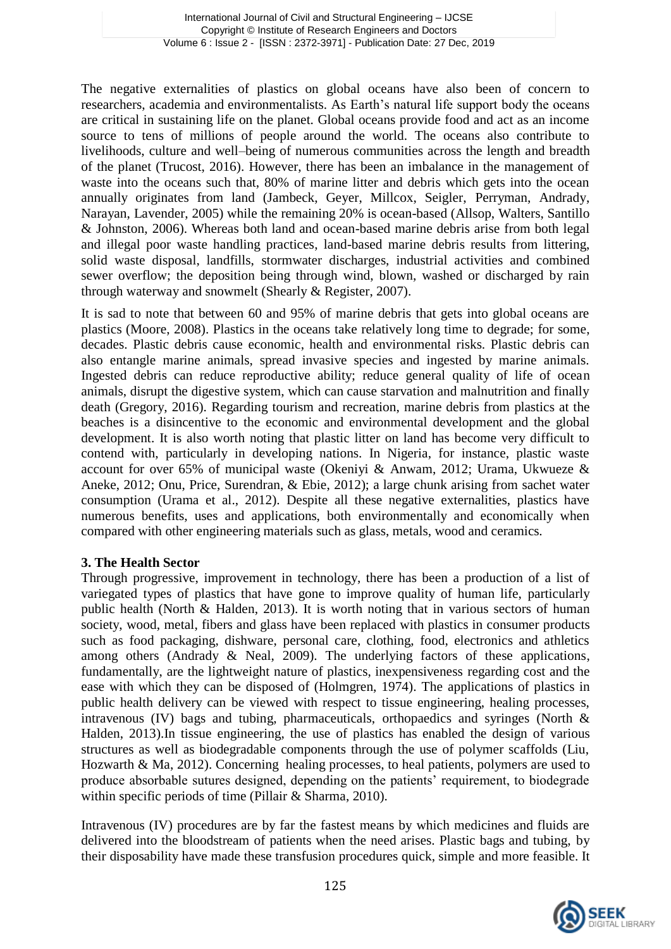The negative externalities of plastics on global oceans have also been of concern to researchers, academia and environmentalists. As Earth's natural life support body the oceans are critical in sustaining life on the planet. Global oceans provide food and act as an income source to tens of millions of people around the world. The oceans also contribute to livelihoods, culture and well–being of numerous communities across the length and breadth of the planet (Trucost, 2016). However, there has been an imbalance in the management of waste into the oceans such that, 80% of marine litter and debris which gets into the ocean annually originates from land (Jambeck, Geyer, Millcox, Seigler, Perryman, Andrady, Narayan, Lavender, 2005) while the remaining 20% is ocean-based (Allsop, Walters, Santillo & Johnston, 2006). Whereas both land and ocean-based marine debris arise from both legal and illegal poor waste handling practices, land-based marine debris results from littering, solid waste disposal, landfills, stormwater discharges, industrial activities and combined sewer overflow; the deposition being through wind, blown, washed or discharged by rain through waterway and snowmelt (Shearly & Register, 2007).

It is sad to note that between 60 and 95% of marine debris that gets into global oceans are plastics (Moore, 2008). Plastics in the oceans take relatively long time to degrade; for some, decades. Plastic debris cause economic, health and environmental risks. Plastic debris can also entangle marine animals, spread invasive species and ingested by marine animals. Ingested debris can reduce reproductive ability; reduce general quality of life of ocean animals, disrupt the digestive system, which can cause starvation and malnutrition and finally death (Gregory, 2016). Regarding tourism and recreation, marine debris from plastics at the beaches is a disincentive to the economic and environmental development and the global development. It is also worth noting that plastic litter on land has become very difficult to contend with, particularly in developing nations. In Nigeria, for instance, plastic waste account for over 65% of municipal waste (Okeniyi & Anwam, 2012; Urama, Ukwueze & Aneke, 2012; Onu, Price, Surendran, & Ebie, 2012); a large chunk arising from sachet water consumption (Urama et al., 2012). Despite all these negative externalities, plastics have numerous benefits, uses and applications, both environmentally and economically when compared with other engineering materials such as glass, metals, wood and ceramics.

## **3. The Health Sector**

Through progressive, improvement in technology, there has been a production of a list of variegated types of plastics that have gone to improve quality of human life, particularly public health (North & Halden, 2013). It is worth noting that in various sectors of human society, wood, metal, fibers and glass have been replaced with plastics in consumer products such as food packaging, dishware, personal care, clothing, food, electronics and athletics among others (Andrady & Neal, 2009). The underlying factors of these applications, fundamentally, are the lightweight nature of plastics, inexpensiveness regarding cost and the ease with which they can be disposed of (Holmgren, 1974). The applications of plastics in public health delivery can be viewed with respect to tissue engineering, healing processes, intravenous (IV) bags and tubing, pharmaceuticals, orthopaedics and syringes (North & Halden, 2013).In tissue engineering, the use of plastics has enabled the design of various structures as well as biodegradable components through the use of polymer scaffolds (Liu, Hozwarth & Ma, 2012). Concerning healing processes, to heal patients, polymers are used to produce absorbable sutures designed, depending on the patients' requirement, to biodegrade within specific periods of time (Pillair & Sharma, 2010).

Intravenous (IV) procedures are by far the fastest means by which medicines and fluids are delivered into the bloodstream of patients when the need arises. Plastic bags and tubing, by their disposability have made these transfusion procedures quick, simple and more feasible. It

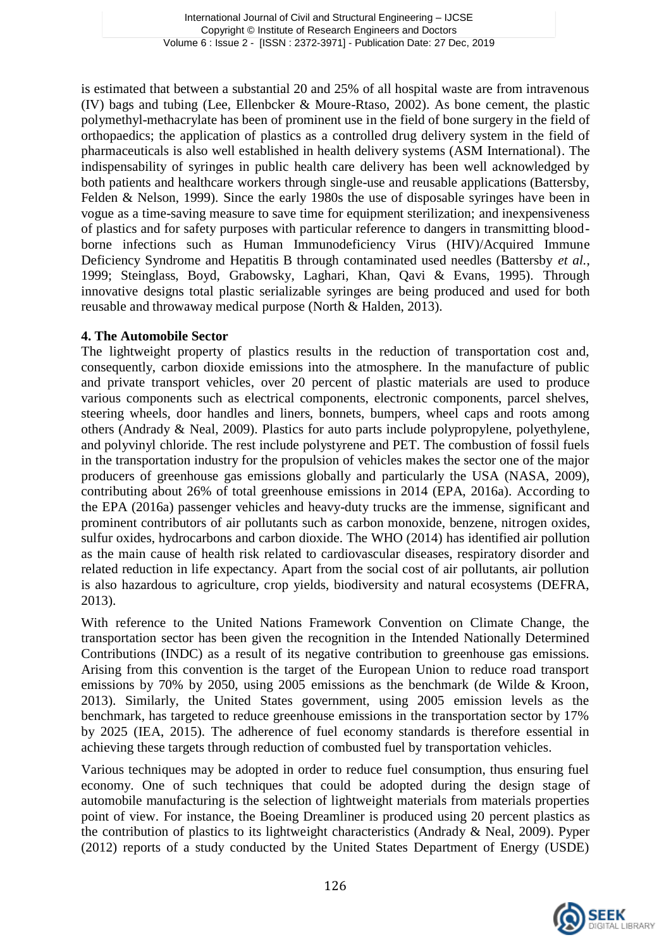is estimated that between a substantial 20 and 25% of all hospital waste are from intravenous (IV) bags and tubing (Lee, Ellenbcker & Moure-Rtaso, 2002). As bone cement, the plastic polymethyl-methacrylate has been of prominent use in the field of bone surgery in the field of orthopaedics; the application of plastics as a controlled drug delivery system in the field of pharmaceuticals is also well established in health delivery systems (ASM International). The indispensability of syringes in public health care delivery has been well acknowledged by both patients and healthcare workers through single-use and reusable applications (Battersby, Felden & Nelson, 1999). Since the early 1980s the use of disposable syringes have been in vogue as a time-saving measure to save time for equipment sterilization; and inexpensiveness of plastics and for safety purposes with particular reference to dangers in transmitting bloodborne infections such as Human Immunodeficiency Virus (HIV)/Acquired Immune Deficiency Syndrome and Hepatitis B through contaminated used needles (Battersby *et al.*, 1999; Steinglass, Boyd, Grabowsky, Laghari, Khan, Qavi & Evans, 1995). Through innovative designs total plastic serializable syringes are being produced and used for both reusable and throwaway medical purpose (North & Halden, 2013).

## **4. The Automobile Sector**

The lightweight property of plastics results in the reduction of transportation cost and, consequently, carbon dioxide emissions into the atmosphere. In the manufacture of public and private transport vehicles, over 20 percent of plastic materials are used to produce various components such as electrical components, electronic components, parcel shelves, steering wheels, door handles and liners, bonnets, bumpers, wheel caps and roots among others (Andrady & Neal, 2009). Plastics for auto parts include polypropylene, polyethylene, and polyvinyl chloride. The rest include polystyrene and PET. The combustion of fossil fuels in the transportation industry for the propulsion of vehicles makes the sector one of the major producers of greenhouse gas emissions globally and particularly the USA (NASA, 2009), contributing about 26% of total greenhouse emissions in 2014 (EPA, 2016a). According to the EPA (2016a) passenger vehicles and heavy-duty trucks are the immense, significant and prominent contributors of air pollutants such as carbon monoxide, benzene, nitrogen oxides, sulfur oxides, hydrocarbons and carbon dioxide. The WHO (2014) has identified air pollution as the main cause of health risk related to cardiovascular diseases, respiratory disorder and related reduction in life expectancy. Apart from the social cost of air pollutants, air pollution is also hazardous to agriculture, crop yields, biodiversity and natural ecosystems (DEFRA, 2013).

With reference to the United Nations Framework Convention on Climate Change, the transportation sector has been given the recognition in the Intended Nationally Determined Contributions (INDC) as a result of its negative contribution to greenhouse gas emissions. Arising from this convention is the target of the European Union to reduce road transport emissions by 70% by 2050, using 2005 emissions as the benchmark (de Wilde & Kroon, 2013). Similarly, the United States government, using 2005 emission levels as the benchmark, has targeted to reduce greenhouse emissions in the transportation sector by 17% by 2025 (IEA, 2015). The adherence of fuel economy standards is therefore essential in achieving these targets through reduction of combusted fuel by transportation vehicles.

Various techniques may be adopted in order to reduce fuel consumption, thus ensuring fuel economy. One of such techniques that could be adopted during the design stage of automobile manufacturing is the selection of lightweight materials from materials properties point of view. For instance, the Boeing Dreamliner is produced using 20 percent plastics as the contribution of plastics to its lightweight characteristics (Andrady & Neal, 2009). Pyper (2012) reports of a study conducted by the United States Department of Energy (USDE)

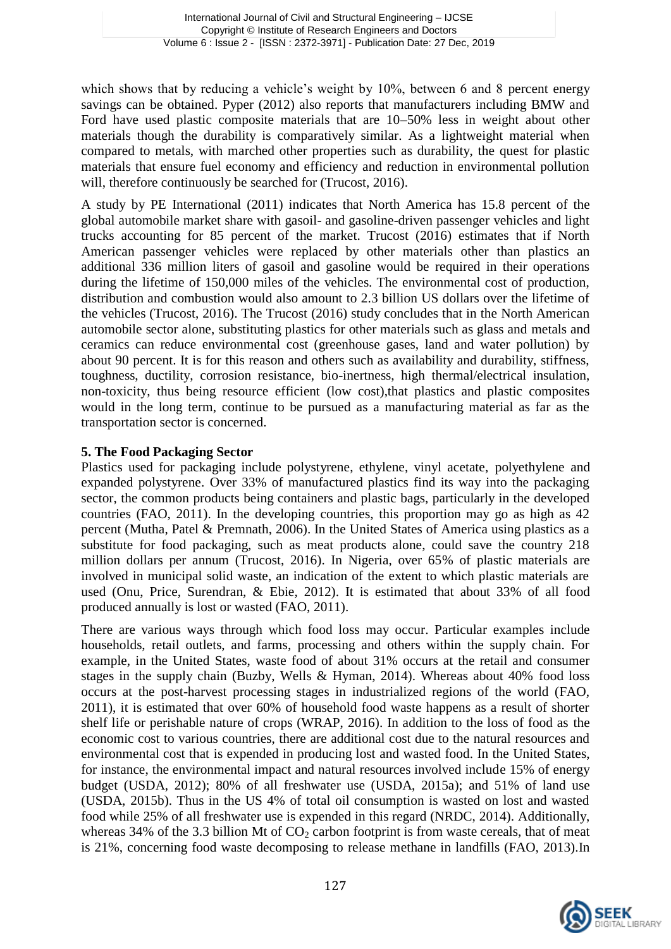which shows that by reducing a vehicle's weight by 10%, between 6 and 8 percent energy savings can be obtained. Pyper (2012) also reports that manufacturers including BMW and Ford have used plastic composite materials that are 10–50% less in weight about other materials though the durability is comparatively similar. As a lightweight material when compared to metals, with marched other properties such as durability, the quest for plastic materials that ensure fuel economy and efficiency and reduction in environmental pollution will, therefore continuously be searched for (Trucost, 2016).

A study by PE International (2011) indicates that North America has 15.8 percent of the global automobile market share with gasoil- and gasoline-driven passenger vehicles and light trucks accounting for 85 percent of the market. Trucost (2016) estimates that if North American passenger vehicles were replaced by other materials other than plastics an additional 336 million liters of gasoil and gasoline would be required in their operations during the lifetime of 150,000 miles of the vehicles. The environmental cost of production, distribution and combustion would also amount to 2.3 billion US dollars over the lifetime of the vehicles (Trucost, 2016). The Trucost (2016) study concludes that in the North American automobile sector alone, substituting plastics for other materials such as glass and metals and ceramics can reduce environmental cost (greenhouse gases, land and water pollution) by about 90 percent. It is for this reason and others such as availability and durability, stiffness, toughness, ductility, corrosion resistance, bio-inertness, high thermal/electrical insulation, non-toxicity, thus being resource efficient (low cost),that plastics and plastic composites would in the long term, continue to be pursued as a manufacturing material as far as the transportation sector is concerned.

### **5. The Food Packaging Sector**

Plastics used for packaging include polystyrene, ethylene, vinyl acetate, polyethylene and expanded polystyrene. Over 33% of manufactured plastics find its way into the packaging sector, the common products being containers and plastic bags, particularly in the developed countries (FAO, 2011). In the developing countries, this proportion may go as high as 42 percent (Mutha, Patel & Premnath, 2006). In the United States of America using plastics as a substitute for food packaging, such as meat products alone, could save the country 218 million dollars per annum (Trucost, 2016). In Nigeria, over 65% of plastic materials are involved in municipal solid waste, an indication of the extent to which plastic materials are used (Onu, Price, Surendran, & Ebie, 2012). It is estimated that about 33% of all food produced annually is lost or wasted (FAO, 2011).

There are various ways through which food loss may occur. Particular examples include households, retail outlets, and farms, processing and others within the supply chain. For example, in the United States, waste food of about 31% occurs at the retail and consumer stages in the supply chain (Buzby, Wells & Hyman, 2014). Whereas about 40% food loss occurs at the post-harvest processing stages in industrialized regions of the world (FAO, 2011), it is estimated that over 60% of household food waste happens as a result of shorter shelf life or perishable nature of crops (WRAP, 2016). In addition to the loss of food as the economic cost to various countries, there are additional cost due to the natural resources and environmental cost that is expended in producing lost and wasted food. In the United States, for instance, the environmental impact and natural resources involved include 15% of energy budget (USDA, 2012); 80% of all freshwater use (USDA, 2015a); and 51% of land use (USDA, 2015b). Thus in the US 4% of total oil consumption is wasted on lost and wasted food while 25% of all freshwater use is expended in this regard (NRDC, 2014). Additionally, whereas 34% of the 3.3 billion Mt of  $CO<sub>2</sub>$  carbon footprint is from waste cereals, that of meat is 21%, concerning food waste decomposing to release methane in landfills (FAO, 2013).In

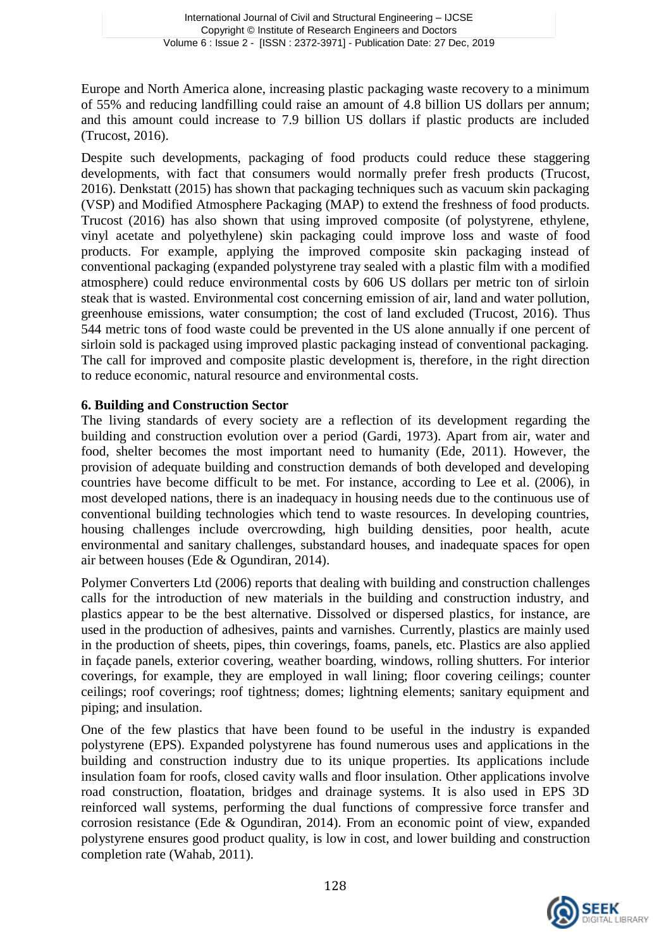Europe and North America alone, increasing plastic packaging waste recovery to a minimum of 55% and reducing landfilling could raise an amount of 4.8 billion US dollars per annum; and this amount could increase to 7.9 billion US dollars if plastic products are included (Trucost, 2016).

Despite such developments, packaging of food products could reduce these staggering developments, with fact that consumers would normally prefer fresh products (Trucost, 2016). Denkstatt (2015) has shown that packaging techniques such as vacuum skin packaging (VSP) and Modified Atmosphere Packaging (MAP) to extend the freshness of food products. Trucost (2016) has also shown that using improved composite (of polystyrene, ethylene, vinyl acetate and polyethylene) skin packaging could improve loss and waste of food products. For example, applying the improved composite skin packaging instead of conventional packaging (expanded polystyrene tray sealed with a plastic film with a modified atmosphere) could reduce environmental costs by 606 US dollars per metric ton of sirloin steak that is wasted. Environmental cost concerning emission of air, land and water pollution, greenhouse emissions, water consumption; the cost of land excluded (Trucost, 2016). Thus 544 metric tons of food waste could be prevented in the US alone annually if one percent of sirloin sold is packaged using improved plastic packaging instead of conventional packaging. The call for improved and composite plastic development is, therefore, in the right direction to reduce economic, natural resource and environmental costs.

### **6. Building and Construction Sector**

The living standards of every society are a reflection of its development regarding the building and construction evolution over a period (Gardi, 1973). Apart from air, water and food, shelter becomes the most important need to humanity (Ede, 2011). However, the provision of adequate building and construction demands of both developed and developing countries have become difficult to be met. For instance, according to Lee et al. (2006), in most developed nations, there is an inadequacy in housing needs due to the continuous use of conventional building technologies which tend to waste resources. In developing countries, housing challenges include overcrowding, high building densities, poor health, acute environmental and sanitary challenges, substandard houses, and inadequate spaces for open air between houses (Ede & Ogundiran, 2014).

Polymer Converters Ltd (2006) reports that dealing with building and construction challenges calls for the introduction of new materials in the building and construction industry, and plastics appear to be the best alternative. Dissolved or dispersed plastics, for instance, are used in the production of adhesives, paints and varnishes. Currently, plastics are mainly used in the production of sheets, pipes, thin coverings, foams, panels, etc. Plastics are also applied in façade panels, exterior covering, weather boarding, windows, rolling shutters. For interior coverings, for example, they are employed in wall lining; floor covering ceilings; counter ceilings; roof coverings; roof tightness; domes; lightning elements; sanitary equipment and piping; and insulation.

One of the few plastics that have been found to be useful in the industry is expanded polystyrene (EPS). Expanded polystyrene has found numerous uses and applications in the building and construction industry due to its unique properties. Its applications include insulation foam for roofs, closed cavity walls and floor insulation. Other applications involve road construction, floatation, bridges and drainage systems. It is also used in EPS 3D reinforced wall systems, performing the dual functions of compressive force transfer and corrosion resistance (Ede & Ogundiran, 2014). From an economic point of view, expanded polystyrene ensures good product quality, is low in cost, and lower building and construction completion rate (Wahab, 2011).

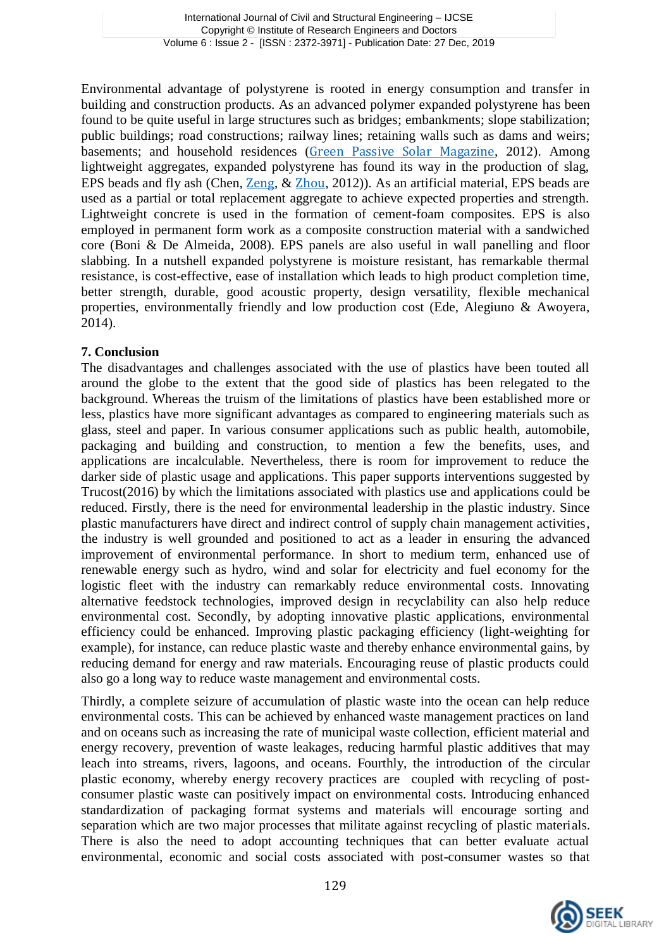Environmental advantage of polystyrene is rooted in energy consumption and transfer in building and construction products. As an advanced polymer expanded polystyrene has been found to be quite useful in large structures such as bridges; embankments; slope stabilization; public buildings; road constructions; railway lines; retaining walls such as dams and weirs; basements; and household residences ([Green Passive Solar Magazine](https://www.google.com.gh/url?sa=t&rct=j&q=&esrc=s&source=web&cd=8&cad=rja&uact=8&ved=0ahUKEwijmum89sPZAhWpCsAKHendBpYQFghBMAc&url=https%3A%2F%2Fgreenpassivesolar.com%2F2012%2F10%2Fhow-styrofoam-is-used-in-building%2F&usg=AOvVaw2Y_KwjM-95GQJ_8e86Jdr9), 2012). Among lightweight aggregates, expanded polystyrene has found its way in the production of slag, EPS beads and fly ash (Chen, [Zeng](https://www.scientific.net/author/Zhi_Xing_Zeng), & [Zhou](https://www.scientific.net/author/Ke_Min_Zhou), 2012)). As an artificial material, EPS beads are used as a partial or total replacement aggregate to achieve expected properties and strength. Lightweight concrete is used in the formation of cement-foam composites. EPS is also employed in permanent form work as a composite construction material with a sandwiched core (Boni & De Almeida, 2008). EPS panels are also useful in wall panelling and floor slabbing. In a nutshell expanded polystyrene is moisture resistant, has remarkable thermal resistance, is cost-effective, ease of installation which leads to high product completion time, better strength, durable, good acoustic property, design versatility, flexible mechanical properties, environmentally friendly and low production cost (Ede, Alegiuno & Awoyera, 2014).

#### **7. Conclusion**

The disadvantages and challenges associated with the use of plastics have been touted all around the globe to the extent that the good side of plastics has been relegated to the background. Whereas the truism of the limitations of plastics have been established more or less, plastics have more significant advantages as compared to engineering materials such as glass, steel and paper. In various consumer applications such as public health, automobile, packaging and building and construction, to mention a few the benefits, uses, and applications are incalculable. Nevertheless, there is room for improvement to reduce the darker side of plastic usage and applications. This paper supports interventions suggested by Trucost(2016) by which the limitations associated with plastics use and applications could be reduced. Firstly, there is the need for environmental leadership in the plastic industry. Since plastic manufacturers have direct and indirect control of supply chain management activities, the industry is well grounded and positioned to act as a leader in ensuring the advanced improvement of environmental performance. In short to medium term, enhanced use of renewable energy such as hydro, wind and solar for electricity and fuel economy for the logistic fleet with the industry can remarkably reduce environmental costs. Innovating alternative feedstock technologies, improved design in recyclability can also help reduce environmental cost. Secondly, by adopting innovative plastic applications, environmental efficiency could be enhanced. Improving plastic packaging efficiency (light-weighting for example), for instance, can reduce plastic waste and thereby enhance environmental gains, by reducing demand for energy and raw materials. Encouraging reuse of plastic products could also go a long way to reduce waste management and environmental costs.

Thirdly, a complete seizure of accumulation of plastic waste into the ocean can help reduce environmental costs. This can be achieved by enhanced waste management practices on land and on oceans such as increasing the rate of municipal waste collection, efficient material and energy recovery, prevention of waste leakages, reducing harmful plastic additives that may leach into streams, rivers, lagoons, and oceans. Fourthly, the introduction of the circular plastic economy, whereby energy recovery practices are coupled with recycling of postconsumer plastic waste can positively impact on environmental costs. Introducing enhanced standardization of packaging format systems and materials will encourage sorting and separation which are two major processes that militate against recycling of plastic materials. There is also the need to adopt accounting techniques that can better evaluate actual environmental, economic and social costs associated with post-consumer wastes so that

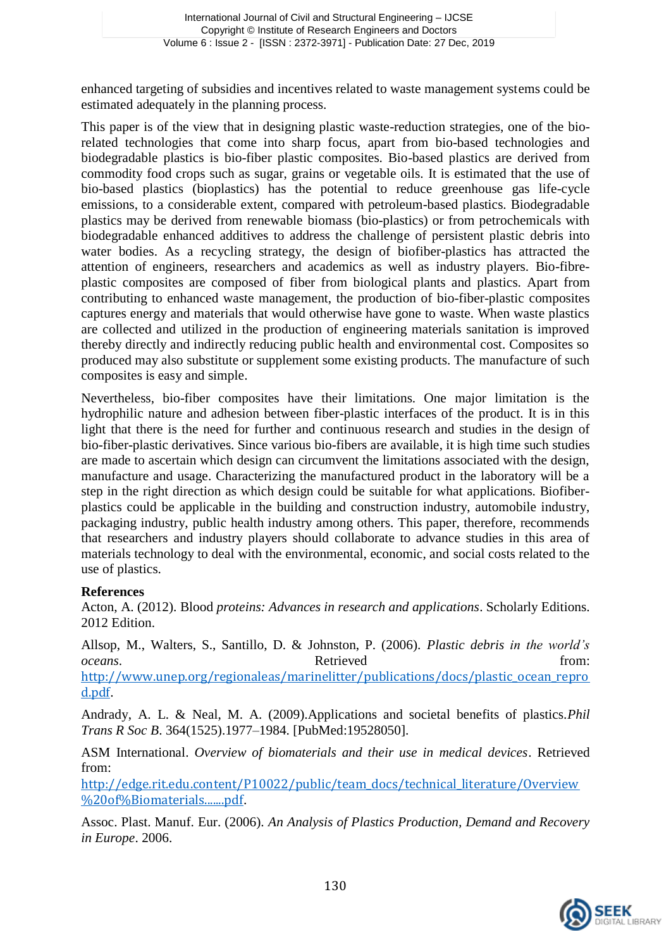enhanced targeting of subsidies and incentives related to waste management systems could be estimated adequately in the planning process.

This paper is of the view that in designing plastic waste-reduction strategies, one of the biorelated technologies that come into sharp focus, apart from bio-based technologies and biodegradable plastics is bio-fiber plastic composites. Bio-based plastics are derived from commodity food crops such as sugar, grains or vegetable oils. It is estimated that the use of bio-based plastics (bioplastics) has the potential to reduce greenhouse gas life-cycle emissions, to a considerable extent, compared with petroleum-based plastics. Biodegradable plastics may be derived from renewable biomass (bio-plastics) or from petrochemicals with biodegradable enhanced additives to address the challenge of persistent plastic debris into water bodies. As a recycling strategy, the design of biofiber-plastics has attracted the attention of engineers, researchers and academics as well as industry players. Bio-fibreplastic composites are composed of fiber from biological plants and plastics. Apart from contributing to enhanced waste management, the production of bio-fiber-plastic composites captures energy and materials that would otherwise have gone to waste. When waste plastics are collected and utilized in the production of engineering materials sanitation is improved thereby directly and indirectly reducing public health and environmental cost. Composites so produced may also substitute or supplement some existing products. The manufacture of such composites is easy and simple.

Nevertheless, bio-fiber composites have their limitations. One major limitation is the hydrophilic nature and adhesion between fiber-plastic interfaces of the product. It is in this light that there is the need for further and continuous research and studies in the design of bio-fiber-plastic derivatives. Since various bio-fibers are available, it is high time such studies are made to ascertain which design can circumvent the limitations associated with the design, manufacture and usage. Characterizing the manufactured product in the laboratory will be a step in the right direction as which design could be suitable for what applications. Biofiberplastics could be applicable in the building and construction industry, automobile industry, packaging industry, public health industry among others. This paper, therefore, recommends that researchers and industry players should collaborate to advance studies in this area of materials technology to deal with the environmental, economic, and social costs related to the use of plastics.

#### **References**

Acton, A. (2012). Blood *proteins: Advances in research and applications*. Scholarly Editions. 2012 Edition.

Allsop, M., Walters, S., Santillo, D. & Johnston, P. (2006). *Plastic debris in the world's oceans.* Retrieved from: [http://www.unep.org/regionaleas/marinelitter/publications/docs/plastic\\_ocean\\_repro](http://www.unep.org/regionaleas/marinelitter/publications/docs/plastic_ocean_reprod.pdf) [d.pdf](http://www.unep.org/regionaleas/marinelitter/publications/docs/plastic_ocean_reprod.pdf).

Andrady, A. L. & Neal, M. A. (2009).Applications and societal benefits of plastics.*Phil Trans R Soc B*. 364(1525).1977–1984. [PubMed:19528050].

ASM International. *Overview of biomaterials and their use in medical devices*. Retrieved from:

[http://edge.rit.edu.content/P10022/public/team\\_docs/technical\\_literature/Overview](http://edge.rit.edu.content/P10022/public/team_docs/technical_literature/Overview%20of%25Biomaterials.......pdf) [%20of%Biomaterials.......pdf](http://edge.rit.edu.content/P10022/public/team_docs/technical_literature/Overview%20of%25Biomaterials.......pdf).

Assoc. Plast. Manuf. Eur. (2006). *An Analysis of Plastics Production, Demand and Recovery in Europe*. 2006.

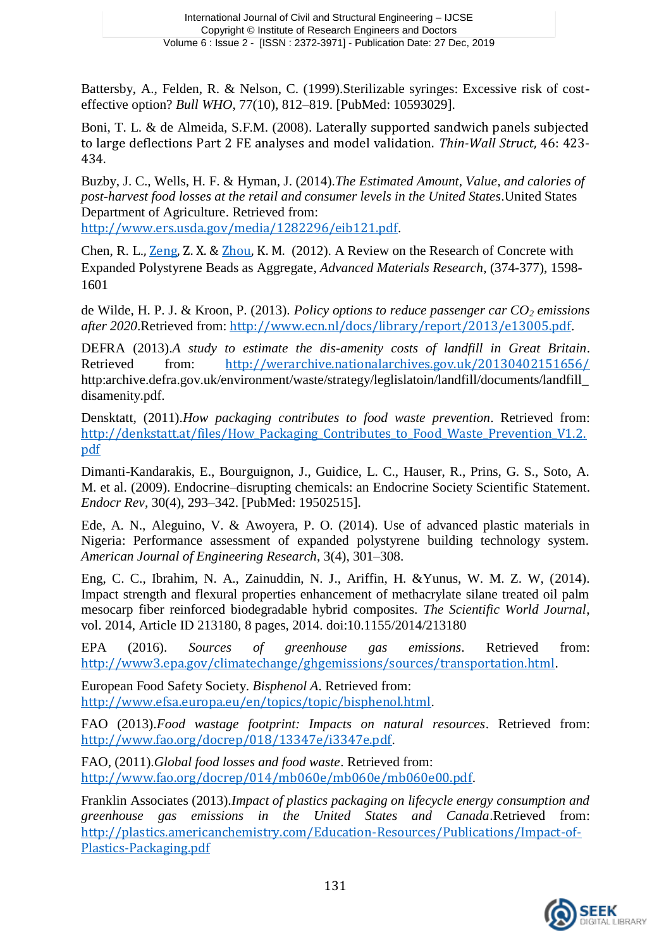Battersby, A., Felden, R. & Nelson, C. (1999).Sterilizable syringes: Excessive risk of costeffective option? *Bull WHO*, 77(10), 812–819. [PubMed: 10593029].

Boni, T. L. & de Almeida, S.F.M. (2008). Laterally supported sandwich panels subjected to large deflections Part 2 FE analyses and model validation. *Thin-Wall Struct*, 46: 423- 434.

Buzby, J. C., Wells, H. F. & Hyman, J. (2014).*The Estimated Amount, Value, and calories of post-harvest food losses at the retail and consumer levels in the United States*.United States Department of Agriculture. Retrieved from:

<http://www.ers.usda.gov/media/1282296/eib121.pdf>.

Chen, R. L., [Zeng,](https://www.scientific.net/author/Zhi_Xing_Zeng) Z. X. & [Zhou,](https://www.scientific.net/author/Ke_Min_Zhou) K. M. (2012). A Review on the Research of Concrete with Expanded Polystyrene Beads as Aggregate, *Advanced Materials Research*, (374-377), 1598- 1601

de Wilde, H. P. J. & Kroon, P. (2013). *Policy options to reduce passenger car CO<sup>2</sup> emissions after 2020*.Retrieved from: <http://www.ecn.nl/docs/library/report/2013/e13005.pdf>.

DEFRA (2013).*A study to estimate the dis-amenity costs of landfill in Great Britain*. Retrieved from: <http://werarchive.nationalarchives.gov.uk/20130402151656/> http:archive.defra.gov.uk/environment/waste/strategy/leglislatoin/landfill/documents/landfill\_ disamenity.pdf.

Densktatt, (2011).*How packaging contributes to food waste prevention*. Retrieved from: [http://denkstatt.at/files/How\\_Packaging\\_Contributes\\_to\\_Food\\_Waste\\_Prevention\\_V1.2.](http://denkstatt.at/files/How_Packaging_Contributes_to_Food_Waste_Prevention_V1.2.pdf) [pdf](http://denkstatt.at/files/How_Packaging_Contributes_to_Food_Waste_Prevention_V1.2.pdf)

Dimanti-Kandarakis, E., Bourguignon, J., Guidice, L. C., Hauser, R., Prins, G. S., Soto, A. M. et al. (2009). Endocrine–disrupting chemicals: an Endocrine Society Scientific Statement. *Endocr Rev,* 30(4), 293–342. [PubMed: 19502515].

Ede, A. N., Aleguino, V. & Awoyera, P. O. (2014). Use of advanced plastic materials in Nigeria: Performance assessment of expanded polystyrene building technology system. *American Journal of Engineering Research*, 3(4), 301–308.

Eng, C. C., Ibrahim, N. A., Zainuddin, N. J., Ariffin, H. &Yunus, W. M. Z. W, (2014). Impact strength and flexural properties enhancement of methacrylate silane treated oil palm mesocarp fiber reinforced biodegradable hybrid composites. *The Scientific World Journal*, vol. 2014, Article ID 213180, 8 pages, 2014. doi:10.1155/2014/213180

EPA (2016). *Sources of greenhouse gas emissions*. Retrieved from: <http://www3.epa.gov/climatechange/ghgemissions/sources/transportation.html>.

European Food Safety Society. *Bisphenol A*. Retrieved from: <http://www.efsa.europa.eu/en/topics/topic/bisphenol.html>.

FAO (2013).*Food wastage footprint: Impacts on natural resources*. Retrieved from: <http://www.fao.org/docrep/018/13347e/i3347e.pdf>.

FAO, (2011).*Global food losses and food waste*. Retrieved from: <http://www.fao.org/docrep/014/mb060e/mb060e/mb060e00.pdf>.

Franklin Associates (2013).*Impact of plastics packaging on lifecycle energy consumption and greenhouse gas emissions in the United States and Canada*.Retrieved from: [http://plastics.americanchemistry.com/Education-Resources/Publications/Impact-of-](http://plastics.americanchemistry.com/Education-Resources/Publications/Impact-of-Plastics-Packaging.pdf)[Plastics-Packaging.pdf](http://plastics.americanchemistry.com/Education-Resources/Publications/Impact-of-Plastics-Packaging.pdf)

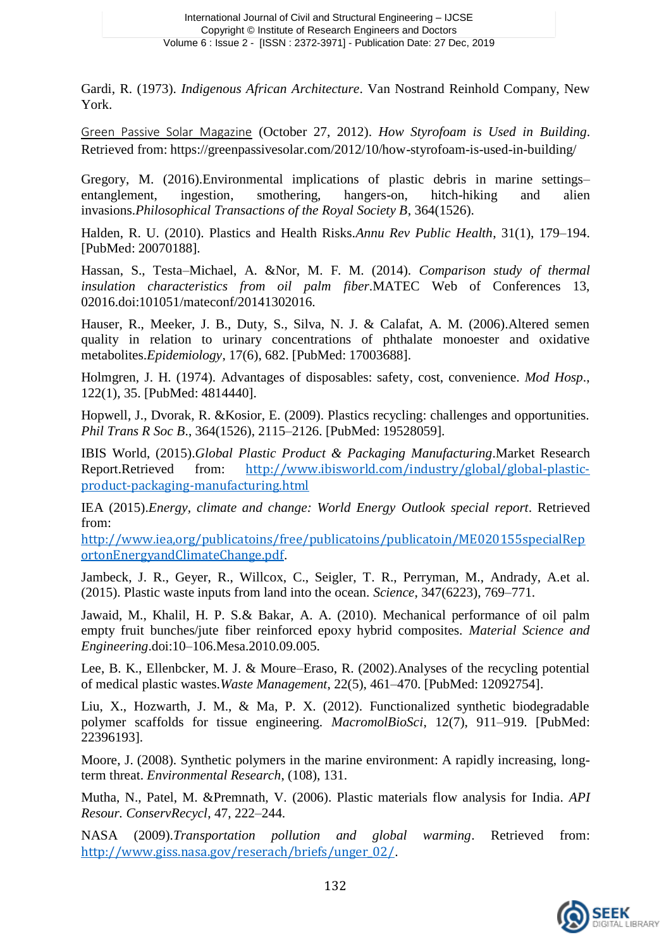Gardi, R. (1973). *Indigenous African Architecture*. Van Nostrand Reinhold Company, New York.

[Green Passive Solar Magazine](https://www.google.com.gh/url?sa=t&rct=j&q=&esrc=s&source=web&cd=8&cad=rja&uact=8&ved=0ahUKEwijmum89sPZAhWpCsAKHendBpYQFghBMAc&url=https%3A%2F%2Fgreenpassivesolar.com%2F2012%2F10%2Fhow-styrofoam-is-used-in-building%2F&usg=AOvVaw2Y_KwjM-95GQJ_8e86Jdr9) (October 27, 2012). *How Styrofoam is Used in Building*. Retrieved from: https://greenpassivesolar.com/2012/10/how-styrofoam-is-used-in-building/

Gregory, M. (2016).Environmental implications of plastic debris in marine settings– entanglement, ingestion, smothering, hangers-on, hitch-hiking and alien invasions.*Philosophical Transactions of the Royal Society B*, 364(1526).

Halden, R. U. (2010). Plastics and Health Risks.*Annu Rev Public Health*, 31(1), 179–194. [PubMed: 20070188].

Hassan, S., Testa–Michael, A. &Nor, M. F. M. (2014). *Comparison study of thermal insulation characteristics from oil palm fiber*.MATEC Web of Conferences 13, 02016.doi:101051/mateconf/20141302016.

Hauser, R., Meeker, J. B., Duty, S., Silva, N. J. & Calafat, A. M. (2006).Altered semen quality in relation to urinary concentrations of phthalate monoester and oxidative metabolites.*Epidemiology*, 17(6), 682. [PubMed: 17003688].

Holmgren, J. H. (1974). Advantages of disposables: safety, cost, convenience. *Mod Hosp*., 122(1), 35. [PubMed: 4814440].

Hopwell, J., Dvorak, R. &Kosior, E. (2009). Plastics recycling: challenges and opportunities. *Phil Trans R Soc B*., 364(1526), 2115–2126. [PubMed: 19528059].

IBIS World, (2015).*Global Plastic Product & Packaging Manufacturing*.Market Research Report.Retrieved from: [http://www.ibisworld.com/industry/global/global-plastic](http://www.ibisworld.com/industry/global/global-plastic-product-packaging-manufacturing.html)[product-packaging-manufacturing.html](http://www.ibisworld.com/industry/global/global-plastic-product-packaging-manufacturing.html)

IEA (2015).*Energy, climate and change: World Energy Outlook special report*. Retrieved from:

[http://www.iea,org/publicatoins/free/publicatoins/publicatoin/ME020155specialRep](http://www.iea,org/publicatoins/free/publicatoins/publicatoin/ME020155specialReportonEnergyandClimateChange.pdf) [ortonEnergyandClimateChange.pdf](http://www.iea,org/publicatoins/free/publicatoins/publicatoin/ME020155specialReportonEnergyandClimateChange.pdf).

Jambeck, J. R., Geyer, R., Willcox, C., Seigler, T. R., Perryman, M., Andrady, A.et al. (2015). Plastic waste inputs from land into the ocean. *Science*, 347(6223), 769–771.

Jawaid, M., Khalil, H. P. S.& Bakar, A. A. (2010). Mechanical performance of oil palm empty fruit bunches/jute fiber reinforced epoxy hybrid composites. *Material Science and Engineering*.doi:10–106.Mesa.2010.09.005.

Lee, B. K., Ellenbcker, M. J. & Moure–Eraso, R. (2002).Analyses of the recycling potential of medical plastic wastes.*Waste Management*, 22(5), 461–470. [PubMed: 12092754].

Liu, X., Hozwarth, J. M., & Ma, P. X. (2012). Functionalized synthetic biodegradable polymer scaffolds for tissue engineering. *MacromolBioSci*, 12(7), 911–919. [PubMed: 22396193].

Moore, J. (2008). Synthetic polymers in the marine environment: A rapidly increasing, longterm threat. *Environmental Research*, (108), 131.

Mutha, N., Patel, M. &Premnath, V. (2006). Plastic materials flow analysis for India. *API Resour. ConservRecycl*, 47, 222–244.

NASA (2009).*Transportation pollution and global warming*. Retrieved from: [http://www.giss.nasa.gov/reserach/briefs/unger\\_02/](http://www.giss.nasa.gov/reserach/briefs/unger_02/).

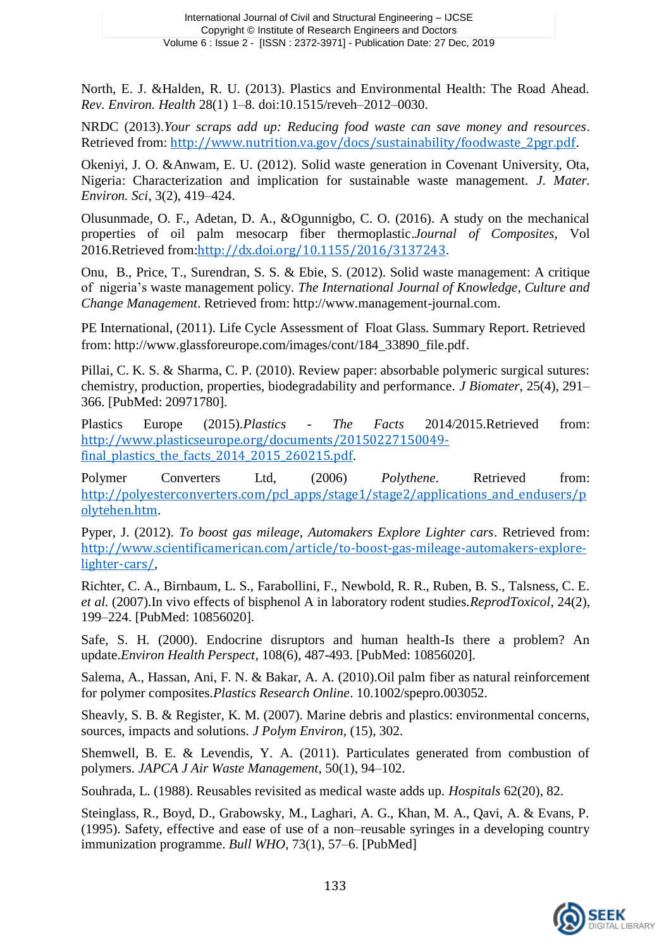North, E. J. &Halden, R. U. (2013). Plastics and Environmental Health: The Road Ahead. *Rev. Environ. Health* 28(1) 1–8. doi:10.1515/reveh–2012–0030.

NRDC (2013).*Your scraps add up: Reducing food waste can save money and resources*. Retrieved from: [http://www.nutrition.va.gov/docs/sustainability/foodwaste\\_2pgr.pdf](http://www.nutrition.va.gov/docs/sustainability/foodwaste_2pgr.pdf).

Okeniyi, J. O. &Anwam, E. U. (2012). Solid waste generation in Covenant University, Ota, Nigeria: Characterization and implication for sustainable waste management. *J. Mater. Environ. Sci*, 3(2), 419–424.

Olusunmade, O. F., Adetan, D. A., &Ogunnigbo, C. O. (2016). A study on the mechanical properties of oil palm mesocarp fiber thermoplastic.*Journal of Composites*, Vol 2016.Retrieved from:<http://dx.doi.org/10.1155/2016/3137243>.

Onu, B., Price, T., Surendran, S. S. & Ebie, S. (2012). Solid waste management: A critique of nigeria's waste management policy. *The International Journal of Knowledge, Culture and Change Management*. Retrieved from: http://www.management-journal.com.

PE International, (2011). Life Cycle Assessment of Float Glass. Summary Report. Retrieved from: http://www.glassforeurope.com/images/cont/184\_33890\_file.pdf.

Pillai, C. K. S. & Sharma, C. P. (2010). Review paper: absorbable polymeric surgical sutures: chemistry, production, properties, biodegradability and performance. *J Biomater*, 25(4), 291– 366. [PubMed: 20971780].

Plastics Europe (2015).*Plastics - The Facts* 2014/2015.Retrieved from: [http://www.plasticseurope.org/documents/20150227150049](http://www.plasticseurope.org/documents/20150227150049-final_plastics_the_facts_2014_2015_260215.pdf) final plastics the facts 2014 2015 260215.pdf.

Polymer Converters Ltd, (2006) *Polythene.* Retrieved from: [http://polyesterconverters.com/pcl\\_apps/stage1/stage2/applications\\_and\\_endusers/p](http://polyesterconverters.com/pcl_apps/stage1/stage2/applications_and_endusers/polytehen.htm) [olytehen.htm](http://polyesterconverters.com/pcl_apps/stage1/stage2/applications_and_endusers/polytehen.htm).

Pyper, J. (2012). *To boost gas mileage, Automakers Explore Lighter cars*. Retrieved from: [http://www.scientificamerican.com/article/to-boost-gas-mileage-automakers-explore](http://www.scientificamerican.com/article/to-boost-gas-mileage-automakers-explore-lighter-cars/)[lighter-cars/](http://www.scientificamerican.com/article/to-boost-gas-mileage-automakers-explore-lighter-cars/),

Richter, C. A., Birnbaum, L. S., Farabollini, F., Newbold, R. R., Ruben, B. S., Talsness, C. E. *et al.* (2007).In vivo effects of bisphenol A in laboratory rodent studies.*ReprodToxicol*, 24(2), 199–224. [PubMed: 10856020].

Safe, S. H. (2000). Endocrine disruptors and human health-Is there a problem? An update.*Environ Health Perspect*, 108(6), 487-493. [PubMed: 10856020].

Salema, A., Hassan, Ani, F. N. & Bakar, A. A. (2010).Oil palm fiber as natural reinforcement for polymer composites.*Plastics Research Online*. 10.1002/spepro.003052.

Sheavly, S. B. & Register, K. M. (2007). Marine debris and plastics: environmental concerns, sources, impacts and solutions. *J Polym Environ*, (15), 302.

Shemwell, B. E. & Levendis, Y. A. (2011). Particulates generated from combustion of polymers. *JAPCA J Air Waste Management*, 50(1), 94–102.

Souhrada, L. (1988). Reusables revisited as medical waste adds up. *Hospitals* 62(20), 82.

Steinglass, R., Boyd, D., Grabowsky, M., Laghari, A. G., Khan, M. A., Qavi, A. & Evans, P. (1995). Safety, effective and ease of use of a non–reusable syringes in a developing country immunization programme. *Bull WHO*, 73(1), 57–6. [PubMed]